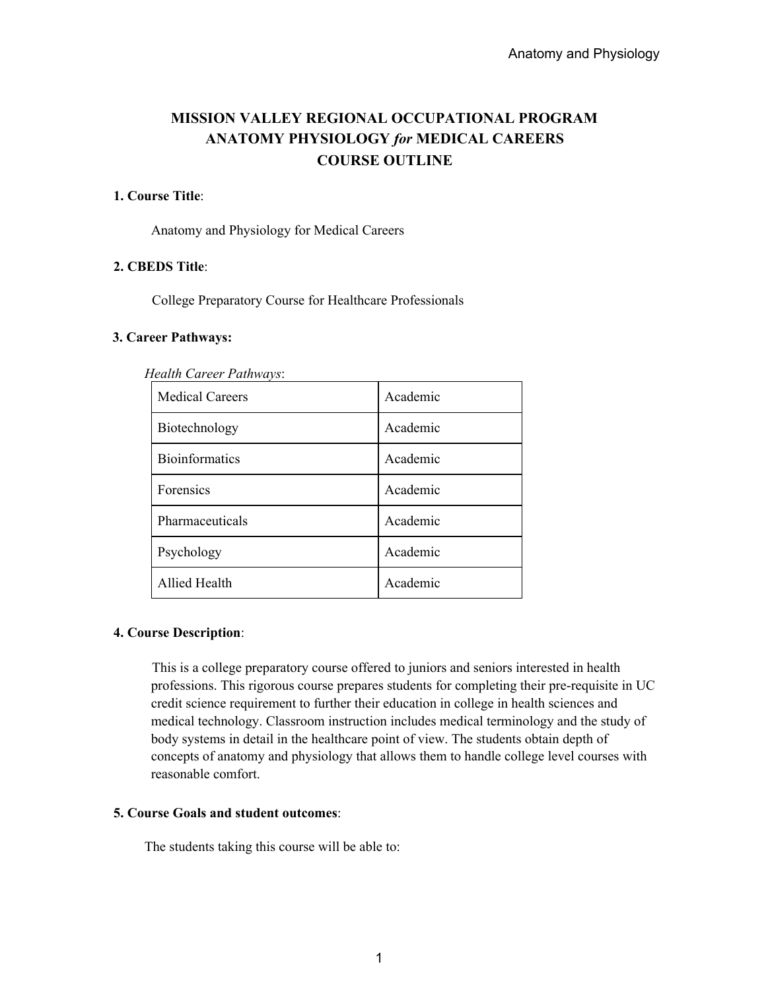# **MISSION VALLEY REGIONAL OCCUPATIONAL PROGRAM ANATOMY PHYSIOLOGY** *for* **MEDICAL CAREERS COURSE OUTLINE**

## **1. Course Title**:

Anatomy and Physiology for Medical Careers

### **2. CBEDS Title**:

College Preparatory Course for Healthcare Professionals

#### **3. Career Pathways:**

| ican carcer i amnavs.  |          |
|------------------------|----------|
| <b>Medical Careers</b> | Academic |
| Biotechnology          | Academic |
| <b>Bioinformatics</b>  | Academic |
| Forensics              | Academic |
| Pharmaceuticals        | Academic |
| Psychology             | Academic |
| <b>Allied Health</b>   | Academic |

*Health Career Pathways*:

## **4. Course Description**:

This is a college preparatory course offered to juniors and seniors interested in health professions. This rigorous course prepares students for completing their pre-requisite in UC credit science requirement to further their education in college in health sciences and medical technology. Classroom instruction includes medical terminology and the study of body systems in detail in the healthcare point of view. The students obtain depth of concepts of anatomy and physiology that allows them to handle college level courses with reasonable comfort.

### **5. Course Goals and student outcomes**:

The students taking this course will be able to: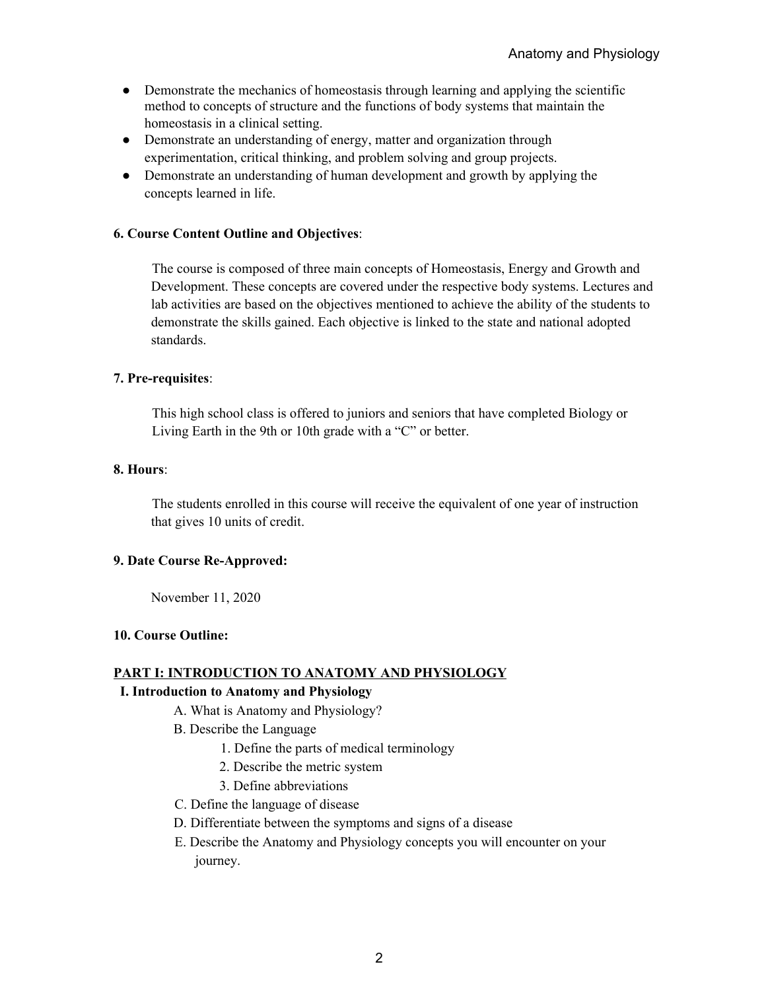- Demonstrate the mechanics of homeostasis through learning and applying the scientific method to concepts of structure and the functions of body systems that maintain the homeostasis in a clinical setting.
- Demonstrate an understanding of energy, matter and organization through experimentation, critical thinking, and problem solving and group projects.
- Demonstrate an understanding of human development and growth by applying the concepts learned in life.

### **6. Course Content Outline and Objectives**:

The course is composed of three main concepts of Homeostasis, Energy and Growth and Development. These concepts are covered under the respective body systems. Lectures and lab activities are based on the objectives mentioned to achieve the ability of the students to demonstrate the skills gained. Each objective is linked to the state and national adopted standards.

### **7. Pre-requisites**:

This high school class is offered to juniors and seniors that have completed Biology or Living Earth in the 9th or 10th grade with a "C" or better.

#### **8. Hours**:

The students enrolled in this course will receive the equivalent of one year of instruction that gives 10 units of credit.

### **9. Date Course Re-Approved:**

November 11, 2020

#### **10. Course Outline:**

#### **PART I: INTRODUCTION TO ANATOMY AND PHYSIOLOGY**

#### **I. Introduction to Anatomy and Physiology**

- A. What is Anatomy and Physiology?
- B. Describe the Language
	- 1. Define the parts of medical terminology
	- 2. Describe the metric system
	- 3. Define abbreviations
- C. Define the language of disease
- D. Differentiate between the symptoms and signs of a disease
- E. Describe the Anatomy and Physiology concepts you will encounter on your journey.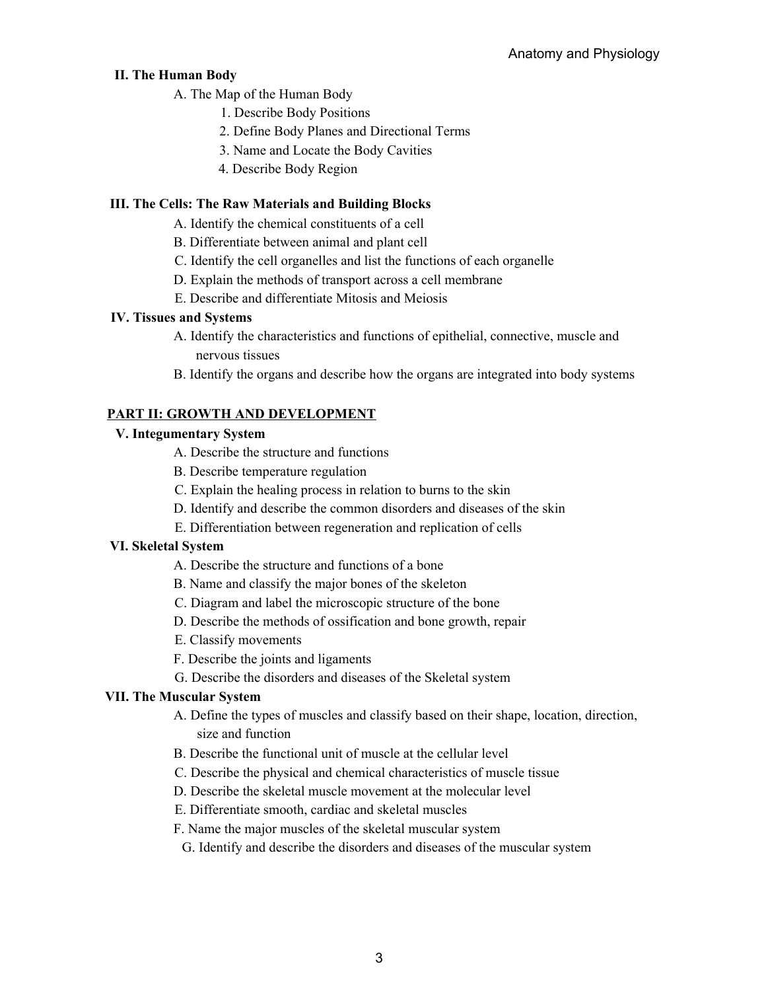# **II. The Human Body**

- A. The Map of the Human Body
	- 1. Describe Body Positions
	- 2. Define Body Planes and Directional Terms
	- 3. Name and Locate the Body Cavities
	- 4. Describe Body Region

# **III. The Cells: The Raw Materials and Building Blocks**

- A. Identify the chemical constituents of a cell
- B. Differentiate between animal and plant cell
- C. Identify the cell organelles and list the functions of each organelle
- D. Explain the methods of transport across a cell membrane
- E. Describe and differentiate Mitosis and Meiosis

# **IV. Tissues and Systems**

- A. Identify the characteristics and functions of epithelial, connective, muscle and nervous tissues
- B. Identify the organs and describe how the organs are integrated into body systems

# **PART II: GROWTH AND DEVELOPMENT**

# **V. Integumentary System**

- A. Describe the structure and functions
- B. Describe temperature regulation
- C. Explain the healing process in relation to burns to the skin
- D. Identify and describe the common disorders and diseases of the skin
- E. Differentiation between regeneration and replication of cells

# **VI. Skeletal System**

- A. Describe the structure and functions of a bone
- B. Name and classify the major bones of the skeleton
- C. Diagram and label the microscopic structure of the bone
- D. Describe the methods of ossification and bone growth, repair
- E. Classify movements
- F. Describe the joints and ligaments
- G. Describe the disorders and diseases of the Skeletal system

# **VII. The Muscular System**

- A. Define the types of muscles and classify based on their shape, location, direction, size and function
- B. Describe the functional unit of muscle at the cellular level
- C. Describe the physical and chemical characteristics of muscle tissue
- D. Describe the skeletal muscle movement at the molecular level
- E. Differentiate smooth, cardiac and skeletal muscles
- F. Name the major muscles of the skeletal muscular system
- G. Identify and describe the disorders and diseases of the muscular system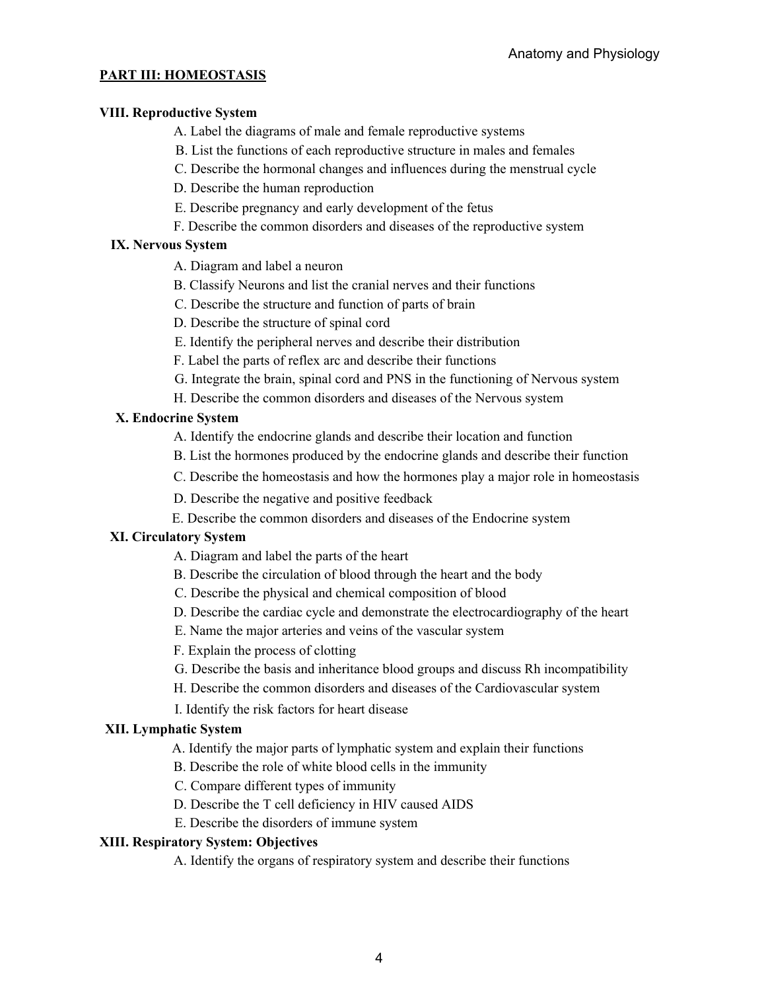# **PART III: HOMEOSTASIS**

### **VIII. Reproductive System**

A. Label the diagrams of male and female reproductive systems

- B. List the functions of each reproductive structure in males and females
- C. Describe the hormonal changes and influences during the menstrual cycle

D. Describe the human reproduction

- E. Describe pregnancy and early development of the fetus
- F. Describe the common disorders and diseases of the reproductive system

# **IX. Nervous System**

- A. Diagram and label a neuron
- B. Classify Neurons and list the cranial nerves and their functions
- C. Describe the structure and function of parts of brain
- D. Describe the structure of spinal cord
- E. Identify the peripheral nerves and describe their distribution
- F. Label the parts of reflex arc and describe their functions
- G. Integrate the brain, spinal cord and PNS in the functioning of Nervous system
- H. Describe the common disorders and diseases of the Nervous system

# **X. Endocrine System**

- A. Identify the endocrine glands and describe their location and function
- B. List the hormones produced by the endocrine glands and describe their function
- C. Describe the homeostasis and how the hormones play a major role in homeostasis
- D. Describe the negative and positive feedback
- E. Describe the common disorders and diseases of the Endocrine system

# **XI. Circulatory System**

- A. Diagram and label the parts of the heart
- B. Describe the circulation of blood through the heart and the body
- C. Describe the physical and chemical composition of blood
- D. Describe the cardiac cycle and demonstrate the electrocardiography of the heart
- E. Name the major arteries and veins of the vascular system
- F. Explain the process of clotting
- G. Describe the basis and inheritance blood groups and discuss Rh incompatibility
- H. Describe the common disorders and diseases of the Cardiovascular system
- I. Identify the risk factors for heart disease

# **XII. Lymphatic System**

- A. Identify the major parts of lymphatic system and explain their functions
- B. Describe the role of white blood cells in the immunity
- C. Compare different types of immunity
- D. Describe the T cell deficiency in HIV caused AIDS
- E. Describe the disorders of immune system

# **XIII. Respiratory System: Objectives**

A. Identify the organs of respiratory system and describe their functions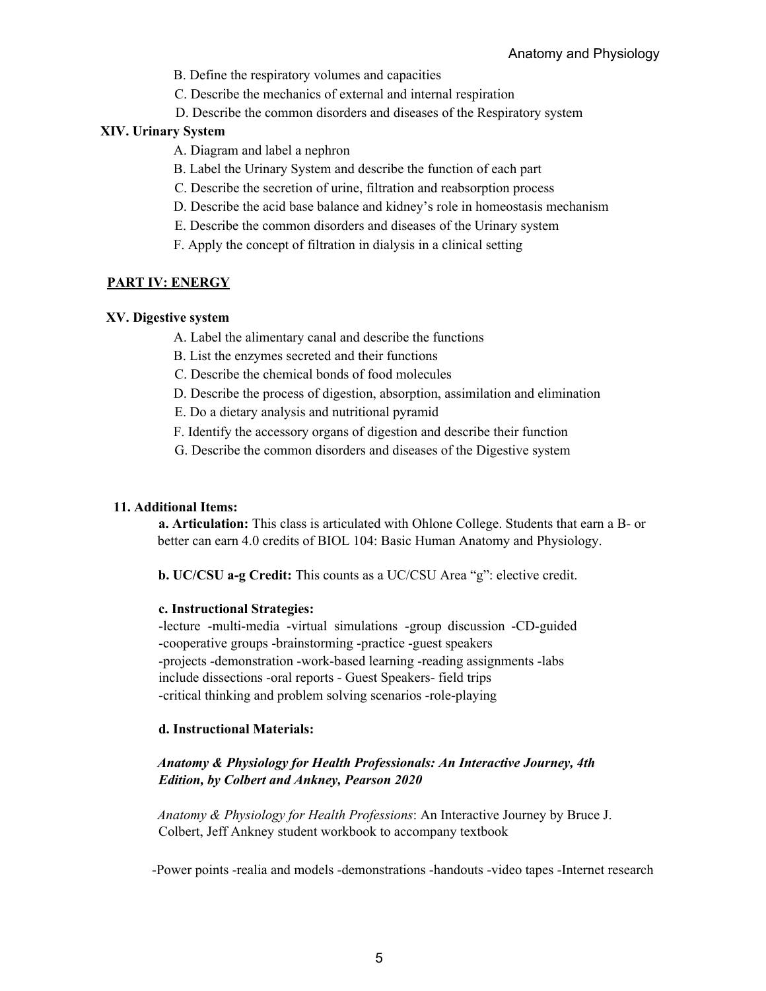B. Define the respiratory volumes and capacities

C. Describe the mechanics of external and internal respiration

D. Describe the common disorders and diseases of the Respiratory system

#### **XIV. Urinary System**

- A. Diagram and label a nephron
- B. Label the Urinary System and describe the function of each part
- C. Describe the secretion of urine, filtration and reabsorption process
- D. Describe the acid base balance and kidney's role in homeostasis mechanism
- E. Describe the common disorders and diseases of the Urinary system
- F. Apply the concept of filtration in dialysis in a clinical setting

### **PART IV: ENERGY**

#### **XV. Digestive system**

- A. Label the alimentary canal and describe the functions
- B. List the enzymes secreted and their functions
- C. Describe the chemical bonds of food molecules
- D. Describe the process of digestion, absorption, assimilation and elimination
- E. Do a dietary analysis and nutritional pyramid
- F. Identify the accessory organs of digestion and describe their function
- G. Describe the common disorders and diseases of the Digestive system

#### **11. Additional Items:**

**a. Articulation:** This class is articulated with Ohlone College. Students that earn a B- or better can earn 4.0 credits of BIOL 104: Basic Human Anatomy and Physiology.

**b. UC/CSU a-g Credit:** This counts as a UC/CSU Area "g": elective credit.

#### **c. Instructional Strategies:**

-lecture -multi-media -virtual simulations -group discussion -CD-guided -cooperative groups -brainstorming -practice -guest speakers -projects -demonstration -work-based learning -reading assignments -labs include dissections -oral reports - Guest Speakers- field trips -critical thinking and problem solving scenarios -role-playing

#### **d. Instructional Materials:**

### *Anatomy & Physiology for Health Professionals: An Interactive Journey, 4th Edition, by Colbert and Ankney, Pearson 2020*

*Anatomy & Physiology for Health Professions*: An Interactive Journey by Bruce J. Colbert, Jeff Ankney student workbook to accompany textbook

-Power points -realia and models -demonstrations -handouts -video tapes -Internet research